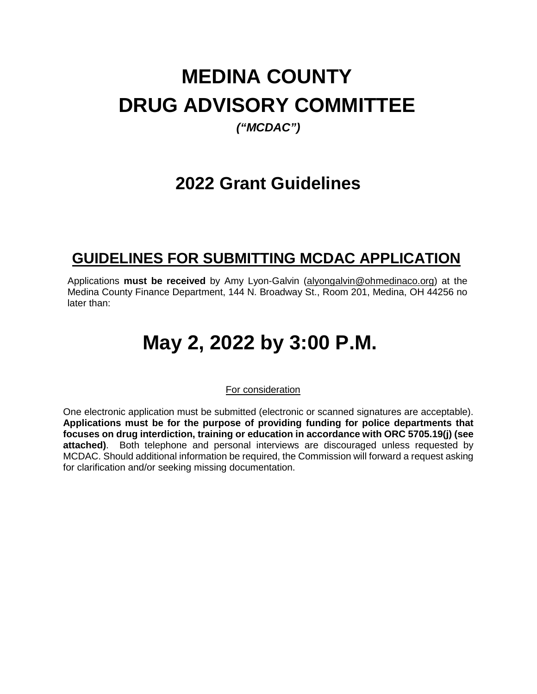# **MEDINA COUNTY DRUG ADVISORY COMMITTEE**

# *("MCDAC")*

# **2022 Grant Guidelines**

# **GUIDELINES FOR SUBMITTING MCDAC APPLICATION**

Applications **must be received** by Amy Lyon-Galvin [\(alyongalvin@ohmedinaco.org\)](mailto:alyongalvin@ohmedinaco.org) at the Medina County Finance Department, 144 N. Broadway St., Room 201, Medina, OH 44256 no later than:

# **May 2, 2022 by 3:00 P.M.**

For consideration

One electronic application must be submitted (electronic or scanned signatures are acceptable). **Applications must be for the purpose of providing funding for police departments that focuses on drug interdiction, training or education in accordance with ORC 5705.19(j) (see attached)**. Both telephone and personal interviews are discouraged unless requested by MCDAC. Should additional information be required, the Commission will forward a request asking for clarification and/or seeking missing documentation.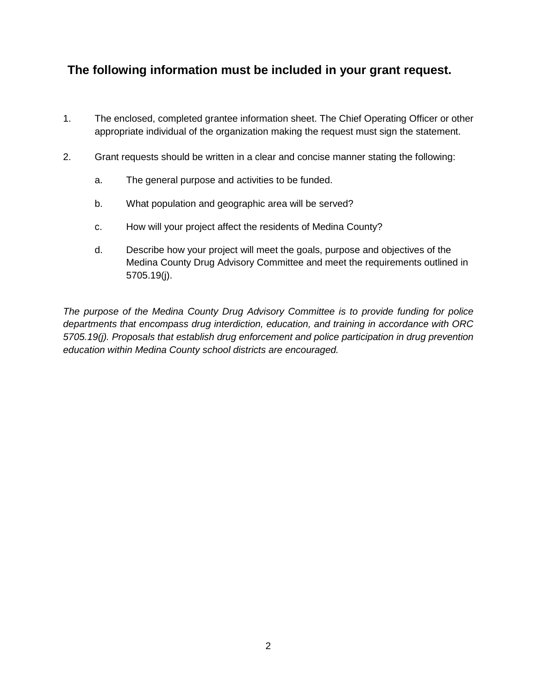# **The following information must be included in your grant request.**

- 1. The enclosed, completed grantee information sheet. The Chief Operating Officer or other appropriate individual of the organization making the request must sign the statement.
- 2. Grant requests should be written in a clear and concise manner stating the following:
	- a. The general purpose and activities to be funded.
	- b. What population and geographic area will be served?
	- c. How will your project affect the residents of Medina County?
	- d. Describe how your project will meet the goals, purpose and objectives of the Medina County Drug Advisory Committee and meet the requirements outlined in 5705.19(j).

*The purpose of the Medina County Drug Advisory Committee is to provide funding for police departments that encompass drug interdiction, education, and training in accordance with ORC 5705.19(j). Proposals that establish drug enforcement and police participation in drug prevention education within Medina County school districts are encouraged.*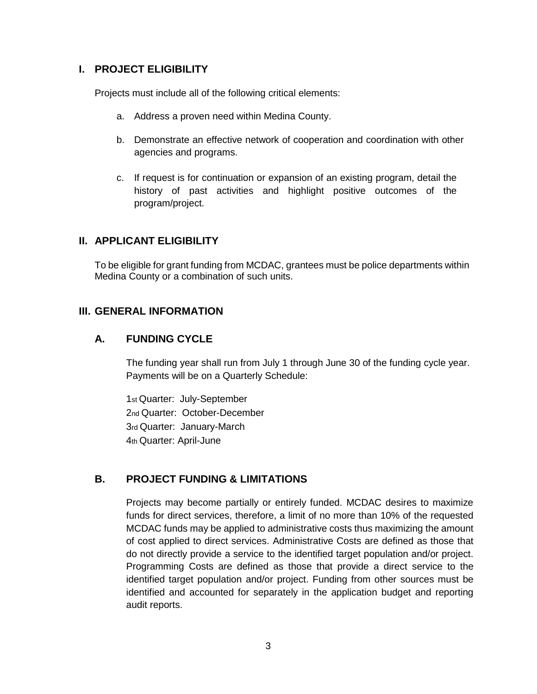### **I. PROJECT ELIGIBILITY**

Projects must include all of the following critical elements:

- a. Address a proven need within Medina County.
- b. Demonstrate an effective network of cooperation and coordination with other agencies and programs.
- c. If request is for continuation or expansion of an existing program, detail the history of past activities and highlight positive outcomes of the program/project.

#### **II. APPLICANT ELIGIBILITY**

To be eligible for grant funding from MCDAC, grantees must be police departments within Medina County or a combination of such units.

### **III. GENERAL INFORMATION**

#### **A. FUNDING CYCLE**

The funding year shall run from July 1 through June 30 of the funding cycle year. Payments will be on a Quarterly Schedule:

1st Quarter: July-September 2nd Quarter: October-December 3rd Quarter: January-March 4th Quarter: April-June

# **B. PROJECT FUNDING & LIMITATIONS**

Projects may become partially or entirely funded. MCDAC desires to maximize funds for direct services, therefore, a limit of no more than 10% of the requested MCDAC funds may be applied to administrative costs thus maximizing the amount of cost applied to direct services. Administrative Costs are defined as those that do not directly provide a service to the identified target population and/or project. Programming Costs are defined as those that provide a direct service to the identified target population and/or project. Funding from other sources must be identified and accounted for separately in the application budget and reporting audit reports.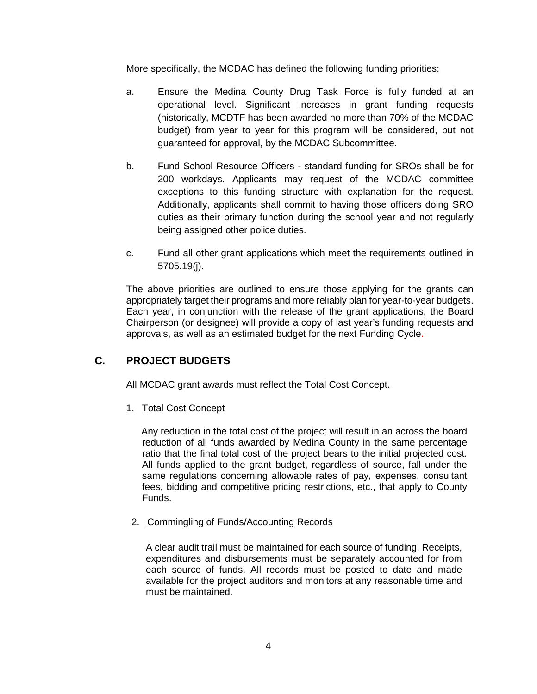More specifically, the MCDAC has defined the following funding priorities:

- a. Ensure the Medina County Drug Task Force is fully funded at an operational level. Significant increases in grant funding requests (historically, MCDTF has been awarded no more than 70% of the MCDAC budget) from year to year for this program will be considered, but not guaranteed for approval, by the MCDAC Subcommittee.
- b. Fund School Resource Officers standard funding for SROs shall be for 200 workdays. Applicants may request of the MCDAC committee exceptions to this funding structure with explanation for the request. Additionally, applicants shall commit to having those officers doing SRO duties as their primary function during the school year and not regularly being assigned other police duties.
- c. Fund all other grant applications which meet the requirements outlined in 5705.19(j).

The above priorities are outlined to ensure those applying for the grants can appropriately target their programs and more reliably plan for year-to-year budgets. Each year, in conjunction with the release of the grant applications, the Board Chairperson (or designee) will provide a copy of last year's funding requests and approvals, as well as an estimated budget for the next Funding Cycle.

# **C. PROJECT BUDGETS**

All MCDAC grant awards must reflect the Total Cost Concept.

1. Total Cost Concept

Any reduction in the total cost of the project will result in an across the board reduction of all funds awarded by Medina County in the same percentage ratio that the final total cost of the project bears to the initial projected cost. All funds applied to the grant budget, regardless of source, fall under the same regulations concerning allowable rates of pay, expenses, consultant fees, bidding and competitive pricing restrictions, etc., that apply to County Funds.

2. Commingling of Funds/Accounting Records

A clear audit trail must be maintained for each source of funding. Receipts, expenditures and disbursements must be separately accounted for from each source of funds. All records must be posted to date and made available for the project auditors and monitors at any reasonable time and must be maintained.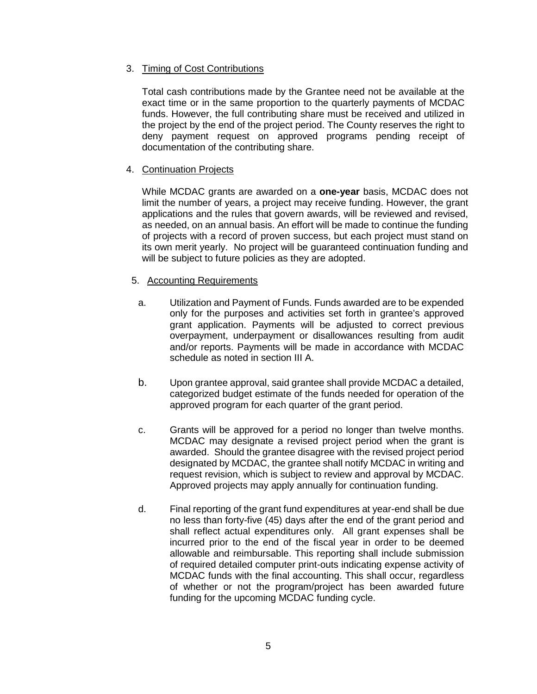#### 3. Timing of Cost Contributions

Total cash contributions made by the Grantee need not be available at the exact time or in the same proportion to the quarterly payments of MCDAC funds. However, the full contributing share must be received and utilized in the project by the end of the project period. The County reserves the right to deny payment request on approved programs pending receipt of documentation of the contributing share.

#### 4. Continuation Projects

While MCDAC grants are awarded on a **one-year** basis, MCDAC does not limit the number of years, a project may receive funding. However, the grant applications and the rules that govern awards, will be reviewed and revised, as needed, on an annual basis. An effort will be made to continue the funding of projects with a record of proven success, but each project must stand on its own merit yearly. No project will be guaranteed continuation funding and will be subject to future policies as they are adopted.

#### 5. Accounting Requirements

- a. Utilization and Payment of Funds. Funds awarded are to be expended only for the purposes and activities set forth in grantee's approved grant application. Payments will be adjusted to correct previous overpayment, underpayment or disallowances resulting from audit and/or reports. Payments will be made in accordance with MCDAC schedule as noted in section III A.
- b. Upon grantee approval, said grantee shall provide MCDAC a detailed, categorized budget estimate of the funds needed for operation of the approved program for each quarter of the grant period.
- c. Grants will be approved for a period no longer than twelve months. MCDAC may designate a revised project period when the grant is awarded. Should the grantee disagree with the revised project period designated by MCDAC, the grantee shall notify MCDAC in writing and request revision, which is subject to review and approval by MCDAC. Approved projects may apply annually for continuation funding.
- d. Final reporting of the grant fund expenditures at year-end shall be due no less than forty-five (45) days after the end of the grant period and shall reflect actual expenditures only. All grant expenses shall be incurred prior to the end of the fiscal year in order to be deemed allowable and reimbursable. This reporting shall include submission of required detailed computer print-outs indicating expense activity of MCDAC funds with the final accounting. This shall occur, regardless of whether or not the program/project has been awarded future funding for the upcoming MCDAC funding cycle.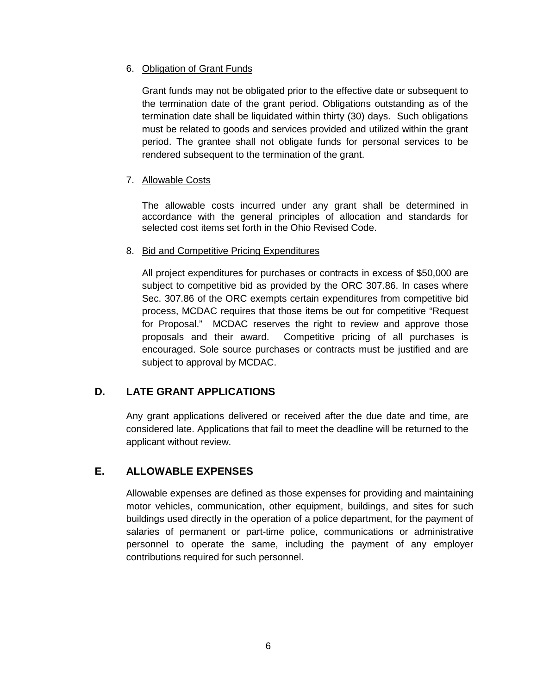#### 6. Obligation of Grant Funds

Grant funds may not be obligated prior to the effective date or subsequent to the termination date of the grant period. Obligations outstanding as of the termination date shall be liquidated within thirty (30) days. Such obligations must be related to goods and services provided and utilized within the grant period. The grantee shall not obligate funds for personal services to be rendered subsequent to the termination of the grant.

#### 7. Allowable Costs

The allowable costs incurred under any grant shall be determined in accordance with the general principles of allocation and standards for selected cost items set forth in the Ohio Revised Code.

#### 8. Bid and Competitive Pricing Expenditures

All project expenditures for purchases or contracts in excess of \$50,000 are subject to competitive bid as provided by the ORC 307.86. In cases where Sec. 307.86 of the ORC exempts certain expenditures from competitive bid process, MCDAC requires that those items be out for competitive "Request for Proposal." MCDAC reserves the right to review and approve those proposals and their award. Competitive pricing of all purchases is encouraged. Sole source purchases or contracts must be justified and are subject to approval by MCDAC.

# **D. LATE GRANT APPLICATIONS**

Any grant applications delivered or received after the due date and time, are considered late. Applications that fail to meet the deadline will be returned to the applicant without review.

# **E. ALLOWABLE EXPENSES**

Allowable expenses are defined as those expenses for providing and maintaining motor vehicles, communication, other equipment, buildings, and sites for such buildings used directly in the operation of a police department, for the payment of salaries of permanent or part-time police, communications or administrative personnel to operate the same, including the payment of any employer contributions required for such personnel.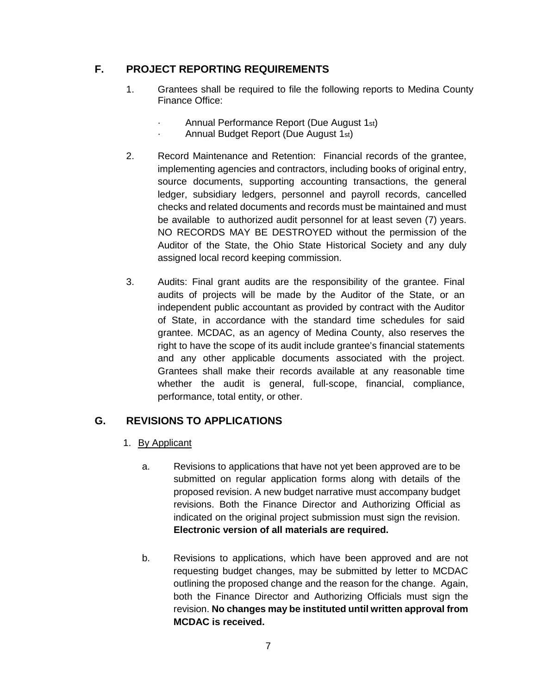# **F. PROJECT REPORTING REQUIREMENTS**

- 1. Grantees shall be required to file the following reports to Medina County Finance Office:
	- · Annual Performance Report (Due August 1st)
	- · Annual Budget Report (Due August 1st)
- 2. Record Maintenance and Retention: Financial records of the grantee, implementing agencies and contractors, including books of original entry, source documents, supporting accounting transactions, the general ledger, subsidiary ledgers, personnel and payroll records, cancelled checks and related documents and records must be maintained and must be available to authorized audit personnel for at least seven (7) years. NO RECORDS MAY BE DESTROYED without the permission of the Auditor of the State, the Ohio State Historical Society and any duly assigned local record keeping commission.
- 3. Audits: Final grant audits are the responsibility of the grantee. Final audits of projects will be made by the Auditor of the State, or an independent public accountant as provided by contract with the Auditor of State, in accordance with the standard time schedules for said grantee. MCDAC, as an agency of Medina County, also reserves the right to have the scope of its audit include grantee's financial statements and any other applicable documents associated with the project. Grantees shall make their records available at any reasonable time whether the audit is general, full-scope, financial, compliance, performance, total entity, or other.

# **G. REVISIONS TO APPLICATIONS**

- 1. By Applicant
	- a. Revisions to applications that have not yet been approved are to be submitted on regular application forms along with details of the proposed revision. A new budget narrative must accompany budget revisions. Both the Finance Director and Authorizing Official as indicated on the original project submission must sign the revision. **Electronic version of all materials are required.**
	- b. Revisions to applications, which have been approved and are not requesting budget changes, may be submitted by letter to MCDAC outlining the proposed change and the reason for the change. Again, both the Finance Director and Authorizing Officials must sign the revision. **No changes may be instituted until written approval from MCDAC is received.**